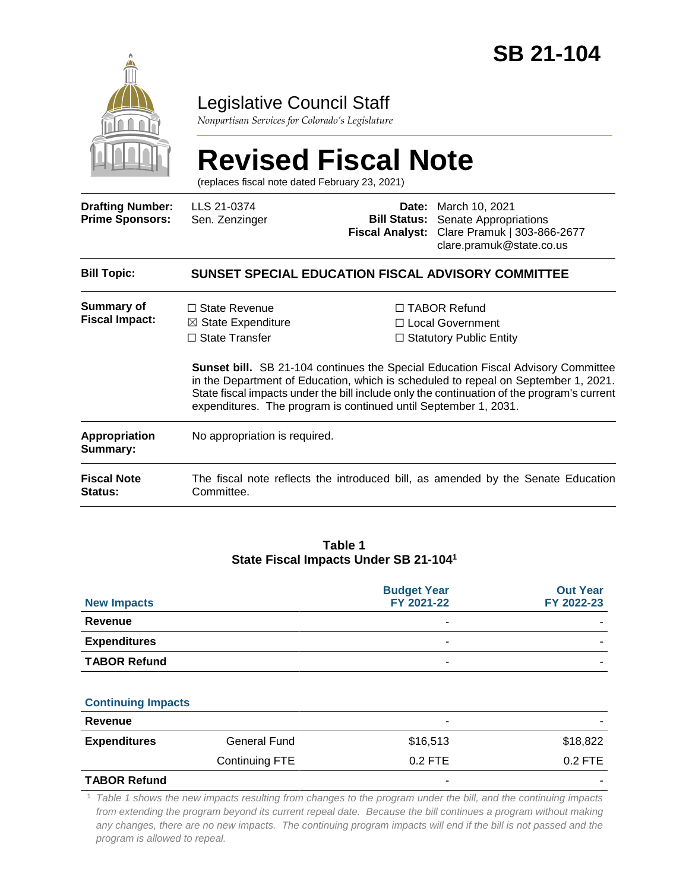

## Legislative Council Staff

*Nonpartisan Services for Colorado's Legislature*

# **Revised Fiscal Note**

(replaces fiscal note dated February 23, 2021)

| <b>Drafting Number:</b><br><b>Prime Sponsors:</b> | LLS 21-0374<br>Sen. Zenzinger                                                                  | Date:<br><b>Bill Status:</b><br><b>Fiscal Analyst:</b>          | March 10, 2021<br>Senate Appropriations<br>Clare Pramuk   303-866-2677<br>clare.pramuk@state.co.us                                                                                                                                                                                                                                                         |  |  |
|---------------------------------------------------|------------------------------------------------------------------------------------------------|-----------------------------------------------------------------|------------------------------------------------------------------------------------------------------------------------------------------------------------------------------------------------------------------------------------------------------------------------------------------------------------------------------------------------------------|--|--|
| <b>Bill Topic:</b>                                | <b>SUNSET SPECIAL EDUCATION FISCAL ADVISORY COMMITTEE</b>                                      |                                                                 |                                                                                                                                                                                                                                                                                                                                                            |  |  |
| Summary of<br><b>Fiscal Impact:</b>               | $\Box$ State Revenue<br>$\boxtimes$ State Expenditure<br>$\Box$ State Transfer                 | expenditures. The program is continued until September 1, 2031. | $\Box$ TABOR Refund<br>□ Local Government<br>$\Box$ Statutory Public Entity<br><b>Sunset bill.</b> SB 21-104 continues the Special Education Fiscal Advisory Committee<br>in the Department of Education, which is scheduled to repeal on September 1, 2021.<br>State fiscal impacts under the bill include only the continuation of the program's current |  |  |
| <b>Appropriation</b><br><b>Summary:</b>           | No appropriation is required.                                                                  |                                                                 |                                                                                                                                                                                                                                                                                                                                                            |  |  |
| <b>Fiscal Note</b><br>Status:                     | The fiscal note reflects the introduced bill, as amended by the Senate Education<br>Committee. |                                                                 |                                                                                                                                                                                                                                                                                                                                                            |  |  |
|                                                   |                                                                                                |                                                                 |                                                                                                                                                                                                                                                                                                                                                            |  |  |

#### **Table 1 State Fiscal Impacts Under SB 21-104<sup>1</sup>**

| <b>New Impacts</b>  | <b>Budget Year</b><br>FY 2021-22 | <b>Out Year</b><br>FY 2022-23 |
|---------------------|----------------------------------|-------------------------------|
| Revenue             |                                  |                               |
| <b>Expenditures</b> | -                                |                               |
| <b>TABOR Refund</b> | -                                |                               |

#### **Continuing Impacts**

| Revenue             |                |           |                          |
|---------------------|----------------|-----------|--------------------------|
| <b>Expenditures</b> | General Fund   | \$16,513  | \$18,822                 |
|                     | Continuing FTE | $0.2$ FTE | $0.2$ FTE                |
| <b>TABOR Refund</b> |                |           | $\overline{\phantom{a}}$ |

<sup>1</sup> *Table 1 shows the new impacts resulting from changes to the program under the bill, and the continuing impacts from extending the program beyond its current repeal date. Because the bill continues a program without making*  any changes, there are no new impacts. The continuing program impacts will end if the bill is not passed and the *program is allowed to repeal.*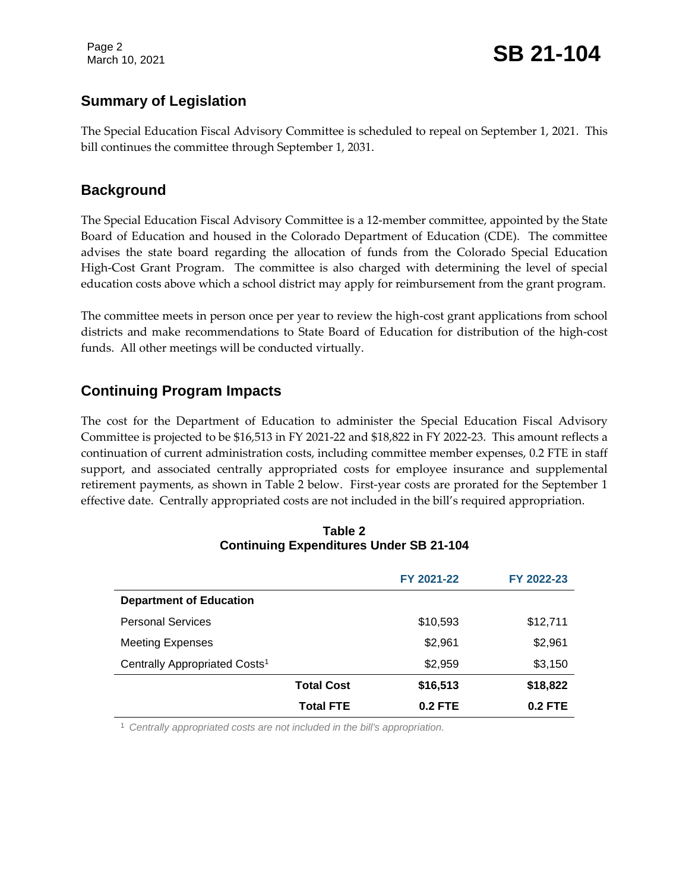Page 2

### **Summary of Legislation**

The Special Education Fiscal Advisory Committee is scheduled to repeal on September 1, 2021. This bill continues the committee through September 1, 2031.

#### **Background**

The Special Education Fiscal Advisory Committee is a 12-member committee, appointed by the State Board of Education and housed in the Colorado Department of Education (CDE). The committee advises the state board regarding the allocation of funds from the Colorado Special Education High-Cost Grant Program. The committee is also charged with determining the level of special education costs above which a school district may apply for reimbursement from the grant program.

The committee meets in person once per year to review the high-cost grant applications from school districts and make recommendations to State Board of Education for distribution of the high-cost funds. All other meetings will be conducted virtually.

## **Continuing Program Impacts**

The cost for the Department of Education to administer the Special Education Fiscal Advisory Committee is projected to be \$16,513 in FY 2021-22 and \$18,822 in FY 2022-23. This amount reflects a continuation of current administration costs, including committee member expenses, 0.2 FTE in staff support, and associated centrally appropriated costs for employee insurance and supplemental retirement payments, as shown in Table 2 below. First-year costs are prorated for the September 1 effective date. Centrally appropriated costs are not included in the bill's required appropriation.

|                                           |                   | FY 2021-22 | FY 2022-23 |
|-------------------------------------------|-------------------|------------|------------|
| <b>Department of Education</b>            |                   |            |            |
| <b>Personal Services</b>                  |                   | \$10,593   | \$12,711   |
| <b>Meeting Expenses</b>                   |                   | \$2,961    | \$2,961    |
| Centrally Appropriated Costs <sup>1</sup> |                   | \$2,959    | \$3,150    |
|                                           | <b>Total Cost</b> | \$16,513   | \$18,822   |
|                                           | <b>Total FTE</b>  | $0.2$ FTE  | $0.2$ FTE  |

**Table 2 Continuing Expenditures Under SB 21-104**

<sup>1</sup> *Centrally appropriated costs are not included in the bill's appropriation.*